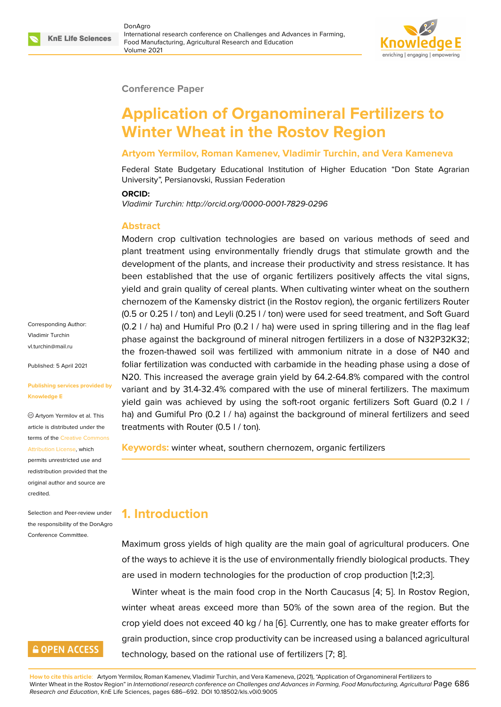#### **Conference Paper**

# **Application of Organomineral Fertilizers to Winter Wheat in the Rostov Region**

#### **Artyom Yermilov, Roman Kamenev, Vladimir Turchin, and Vera Kameneva**

Federal State Budgetary Educational Institution of Higher Education "Don State Agrarian University", Persianovski, Russian Federation

#### **ORCID:**

*Vladimir Turchin: http://orcid.org/0000-0001-7829-0296*

#### **Abstract**

Modern crop cultivation technologies are based on various methods of seed and plant treatment using environmentally friendly drugs that stimulate growth and the development of the plants, and increase their productivity and stress resistance. It has been established that the use of organic fertilizers positively affects the vital signs, yield and grain quality of cereal plants. When cultivating winter wheat on the southern chernozem of the Kamensky district (in the Rostov region), the organic fertilizers Router (0.5 or 0.25 l / ton) and Leyli (0.25 l / ton) were used for seed treatment, and Soft Guard (0.2 l / ha) and Humiful Pro (0.2 l / ha) were used in spring tillering and in the flag leaf phase against the background of mineral nitrogen fertilizers in a dose of N32P32K32; the frozen-thawed soil was fertilized with ammonium nitrate in a dose of N40 and foliar fertilization was conducted with carbamide in the heading phase using a dose of N20. This increased the average grain yield by 64.2-64.8% compared with the control variant and by 31.4-32.4% compared with the use of mineral fertilizers. The maximum yield gain was achieved by using the soft-root organic fertilizers Soft Guard (0.2 l / ha) and Gumiful Pro (0.2 I / ha) against the background of mineral fertilizers and seed treatments with Router (0.5 l / ton).

**Keywords:** winter wheat, southern chernozem, organic fertilizers

### **1. Introduction**

Maximum gross yields of high quality are the main goal of agricultural producers. One of the ways to achieve it is the use of environmentally friendly biological products. They are used in modern technologies for the production of crop production [1;2;3].

Winter wheat is the main food crop in the North Caucasus [4; 5]. In Rostov Region, winter wheat areas exceed more than 50% of the sown area of the region. But the crop yield does not exceed 40 kg / ha [6]. Currently, one has to make greater efforts for grain production, since crop productivity can be increased using a balanced agricultural technology, based on the rational use of fertilizers [7; 8].

**How to cite this article**: Artyom Yermilov, Roman Kamenev, Vladimir Turchin, and Vera Kameneva, (2021), "Application of Organomineral Fertilizers to Winter Wheat in the Rostov Region" in *International research conference on Challenges and Advances in Farming, Food Manufacturing, Agricultural* Page 686 *Research and Education*, KnE Life Sciences, pages 686–692. DOI 10.18502/kls.v0i0.9005

Corresponding Author: Vladimir Turchin vl.turchin@mail.ru

Published: 5 April 2021

#### **[Publishing servic](mailto:vl.turchin@mail.ru)es provided by Knowledge E**

Artyom Yermilov et al. This article is distributed under the terms of the Creative Commons Attribution License, which

permits unrestricted use and redistribution provided that the original auth[or and source are](https://creativecommons.org/licenses/by/4.0/) [credited.](https://creativecommons.org/licenses/by/4.0/)

Selection and Peer-review under the responsibility of the DonAgro Conference Committee.

#### **GOPEN ACCESS**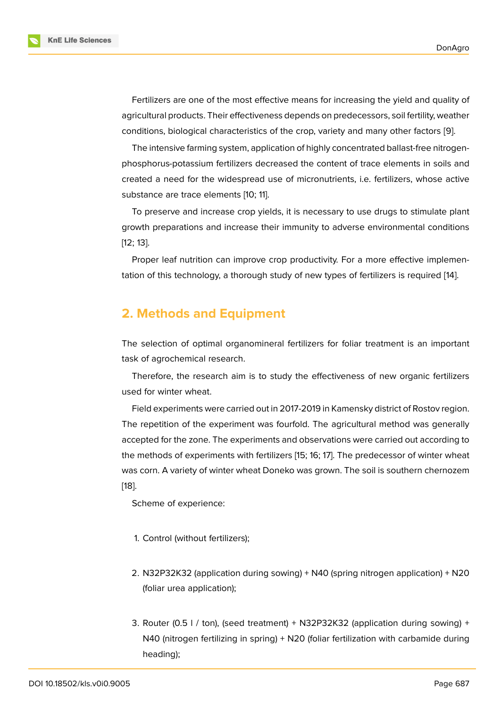Fertilizers are one of the most effective means for increasing the yield and quality of agricultural products. Their effectiveness depends on predecessors, soil fertility, weather conditions, biological characteristics of the crop, variety and many other factors [9].

The intensive farming system, application of highly concentrated ballast-free nitrogenphosphorus-potassium fertilizers decreased the content of trace elements in soils and created a need for the widespread use of micronutrients, i.e. fertilizers, whose [ac](#page-6-0)tive substance are trace elements [10; 11].

To preserve and increase crop yields, it is necessary to use drugs to stimulate plant growth preparations and increase their immunity to adverse environmental conditions [12; 13].

Proper leaf nutrition can improve crop productivity. For a more effective implementation of this technology, a thorough study of new types of fertilizers is required [14].

#### **2. Methods and Equipment**

The selection of optimal organomineral fertilizers for foliar treatment is an important task of agrochemical research.

Therefore, the research aim is to study the effectiveness of new organic fertilizers used for winter wheat.

Field experiments were carried out in 2017-2019 in Kamensky district of Rostov region. The repetition of the experiment was fourfold. The agricultural method was generally accepted for the zone. The experiments and observations were carried out according to the methods of experiments with fertilizers [15; 16; 17]. The predecessor of winter wheat was corn. A variety of winter wheat Doneko was grown. The soil is southern chernozem [18].

Scheme of experience:

- 1. Control (without fertilizers);
- 2. N32P32K32 (application during sowing) + N40 (spring nitrogen application) + N20 (foliar urea application);
- 3. Router (0.5 l / ton), (seed treatment) + N32P32K32 (application during sowing) + N40 (nitrogen fertilizing in spring) + N20 (foliar fertilization with carbamide during heading);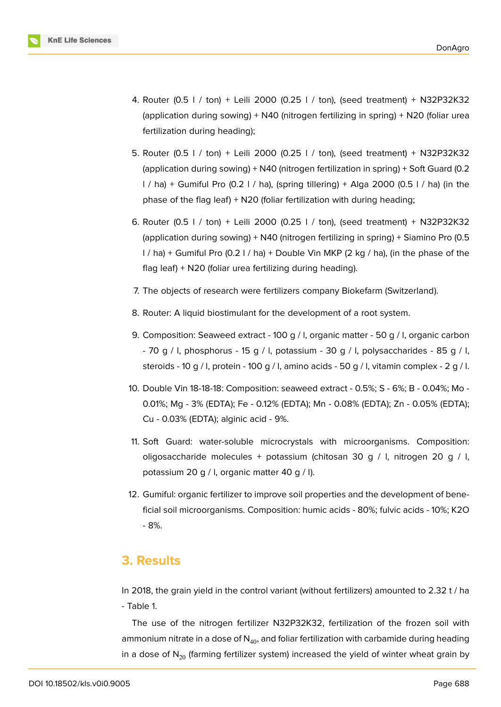

- 4. Router (0.5 l / ton) + Leili 2000 (0.25 l / ton), (seed treatment) + N32P32K32 (application during sowing) + N40 (nitrogen fertilizing in spring) + N20 (foliar urea fertilization during heading);
- 5. Router (0.5 l / ton) + Leili 2000 (0.25 l / ton), (seed treatment) + N32P32K32 (application during sowing) + N40 (nitrogen fertilization in spring) + Soft Guard (0.2 l / ha) + Gumiful Pro (0.2 l / ha), (spring tillering) + Alga 2000 (0.5 l / ha) (in the phase of the flag leaf) + N20 (foliar fertilization with during heading;
- 6. Router (0.5 l / ton) + Leili 2000 (0.25 l / ton), (seed treatment) + N32P32K32 (application during sowing) + N40 (nitrogen fertilizing in spring) + Siamino Pro (0.5 l / ha) + Gumiful Pro (0.2 l / ha) + Double Vin MKP (2 kg / ha), (in the phase of the flag leaf) + N20 (foliar urea fertilizing during heading).
- 7. The objects of research were fertilizers company Biokefarm (Switzerland).
- 8. Router: A liquid biostimulant for the development of a root system.
- 9. Composition: Seaweed extract 100 g / l, organic matter 50 g / l, organic carbon - 70 g / l, phosphorus - 15 g / l, potassium - 30 g / l, polysaccharides - 85 g / l, steroids - 10 g / l, protein - 100 g / l, amino acids - 50 g / l, vitamin complex - 2 g / l.
- 10. Double Vin 18-18-18: Composition: seaweed extract 0.5%; S 6%; B 0.04%; Mo 0.01%; Mg - 3% (EDTA); Fe - 0.12% (EDTA); Mn - 0.08% (EDTA); Zn - 0.05% (EDTA); Cu - 0.03% (EDTA); alginic acid - 9%.
- 11. Soft Guard: water-soluble microcrystals with microorganisms. Composition: oligosaccharide molecules + potassium (chitosan 30 g / l, nitrogen 20 g / l, potassium 20 g / l, organic matter 40 g / l).
- 12. Gumiful: organic fertilizer to improve soil properties and the development of beneficial soil microorganisms. Composition: humic acids - 80%; fulvic acids - 10%; K2O - 8%.

#### **3. Results**

In 2018, the grain yield in the control variant (without fertilizers) amounted to 2.32 t / ha - Table 1.

The use of the nitrogen fertilizer N32P32K32, fertilization of the frozen soil with ammonium nitrate in a dose of  $N_{40}$ , and foliar fertilization with carbamide during heading in a dose of  $N_{20}$  (farming fertilizer system) increased the yield of winter wheat grain by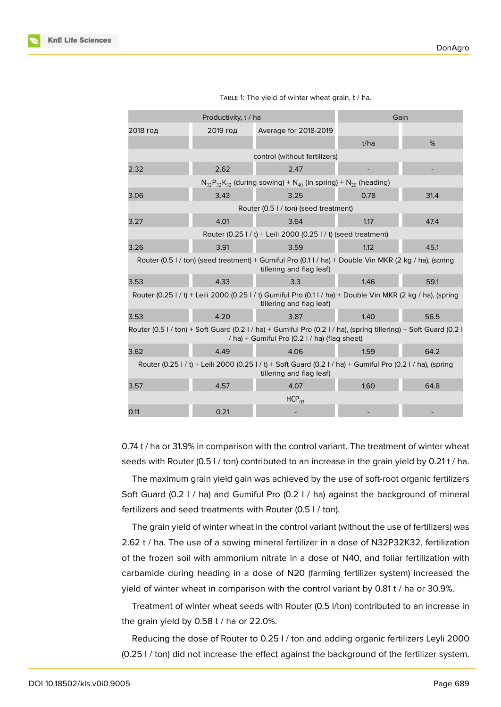

|  | TABLE 1: The yield of winter wheat grain, t / ha. |  |  |  |  |
|--|---------------------------------------------------|--|--|--|--|
|--|---------------------------------------------------|--|--|--|--|

0.74 t / ha or 31.9% in comparison with the control variant. The treatment of winter wheat seeds with Router (0.5 l / ton) contributed to an increase in the grain yield by 0.21 t / ha.

The maximum grain yield gain was achieved by the use of soft-root organic fertilizers Soft Guard (0.2 l / ha) and Gumiful Pro (0.2 l / ha) against the background of mineral fertilizers and seed treatments with Router (0.5 l / ton).

The grain yield of winter wheat in the control variant (without the use of fertilizers) was 2.62 t / ha. The use of a sowing mineral fertilizer in a dose of N32P32K32, fertilization of the frozen soil with ammonium nitrate in a dose of N40, and foliar fertilization with carbamide during heading in a dose of N20 (farming fertilizer system) increased the yield of winter wheat in comparison with the control variant by 0.81 t / ha or 30.9%.

Treatment of winter wheat seeds with Router (0.5 l/ton) contributed to an increase in the grain yield by 0.58 t / ha or 22.0%.

Reducing the dose of Router to 0.25 l / ton and adding organic fertilizers Leyli 2000 (0.25 l / ton) did not increase the effect against the background of the fertilizer system.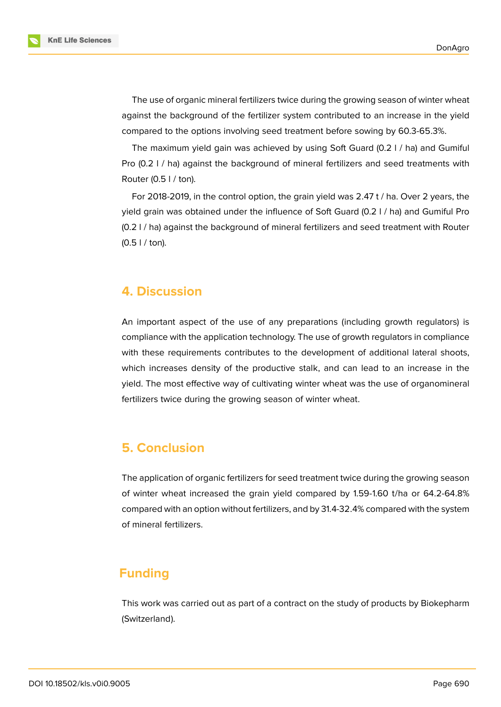**KnE Life Sciences** 



The use of organic mineral fertilizers twice during the growing season of winter wheat against the background of the fertilizer system contributed to an increase in the yield compared to the options involving seed treatment before sowing by 60.3-65.3%.

The maximum yield gain was achieved by using Soft Guard (0.2 l / ha) and Gumiful Pro (0.2 I / ha) against the background of mineral fertilizers and seed treatments with Router (0.5 l / ton).

For 2018-2019, in the control option, the grain yield was 2.47 t / ha. Over 2 years, the yield grain was obtained under the influence of Soft Guard (0.2 l / ha) and Gumiful Pro (0.2 l / ha) against the background of mineral fertilizers and seed treatment with Router (0.5 l / ton).

### **4. Discussion**

An important aspect of the use of any preparations (including growth regulators) is compliance with the application technology. The use of growth regulators in compliance with these requirements contributes to the development of additional lateral shoots, which increases density of the productive stalk, and can lead to an increase in the yield. The most effective way of cultivating winter wheat was the use of organomineral fertilizers twice during the growing season of winter wheat.

### **5. Conclusion**

The application of organic fertilizers for seed treatment twice during the growing season of winter wheat increased the grain yield compared by 1.59-1.60 t/ha or 64.2-64.8% compared with an option without fertilizers, and by 31.4-32.4% compared with the system of mineral fertilizers.

### **Funding**

This work was carried out as part of a contract on the study of products by Biokepharm (Switzerland).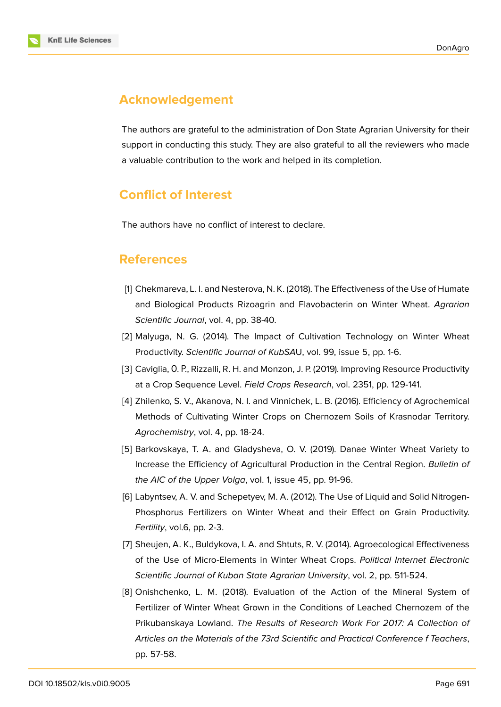

## **Acknowledgement**

The authors are grateful to the administration of Don State Agrarian University for their support in conducting this study. They are also grateful to all the reviewers who made a valuable contribution to the work and helped in its completion.

# **Conflict of Interest**

The authors have no conflict of interest to declare.

### **References**

- [1] Chekmareva, L. I. and Nesterova, N. K. (2018). The Effectiveness of the Use of Humate and Biological Products Rizoagrin and Flavobacterin on Winter Wheat. *Agrarian Scientific Journal*, vol. 4, pp. 38-40.
- [2] Malyuga, N. G. (2014). The Impact of Cultivation Technology on Winter Wheat Productivity. *Scientific Journal of KubSA*U, vol. 99, issue 5, pp. 1-6.
- [3] Caviglia, O. P., Rizzalli, R. H. and Monzon, J. P. (2019). Improving Resource Productivity at a Crop Sequence Level. *Field Crops Research*, vol. 2351, рр. 129-141.
- [4] Zhilenko, S. V., Akanova, N. I. and Vinnichek, L. B. (2016). Efficiency of Agrochemical Methods of Cultivating Winter Crops on Chernozem Soils of Krasnodar Territory. *Agrochemistry*, vol. 4, pp. 18-24.
- [5] Barkovskaya, T. A. and Gladysheva, O. V. (2019). Danae Winter Wheat Variety to Increase the Efficiency of Agricultural Production in the Central Region. *Bulletin of the AIC of the Upper Volga*, vol. 1, issue 45, pp. 91-96.
- [6] Labyntsev, A. V. and Schepetyev, M. A. (2012). The Use of Liquid and Solid Nitrogen-Phosphorus Fertilizers on Winter Wheat and their Effect on Grain Productivity. *Fertility*, vol.6, pp. 2-3.
- [7] Sheujen, A. K., Buldykova, I. A. and Shtuts, R. V. (2014). Agroecological Effectiveness of the Use of Micro-Elements in Winter Wheat Crops. *Political Internet Electronic Scientific Journal of Kuban State Agrarian University*, vol. 2, pp. 511-524.
- [8] Onishchenko, L. M. (2018). Evaluation of the Action of the Mineral System of Fertilizer of Winter Wheat Grown in the Conditions of Leached Chernozem of the Prikubanskaya Lowland. *The Results of Research Work For 2017: A Collection of Articles on the Materials of the 73rd Scientific and Practical Conference f Teachers*, pp. 57-58.